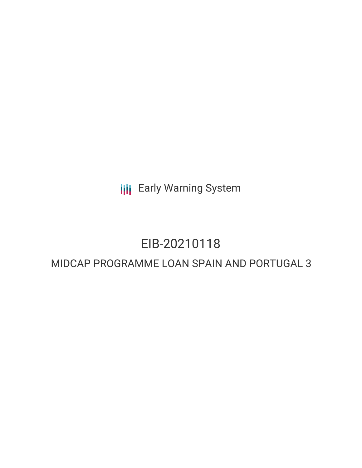**III** Early Warning System

## EIB-20210118

### MIDCAP PROGRAMME LOAN SPAIN AND PORTUGAL 3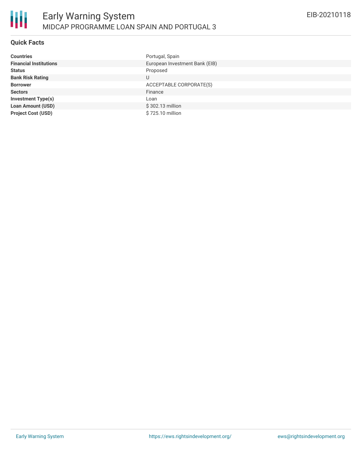

#### **Quick Facts**

| <b>Countries</b>              | Portugal, Spain                |
|-------------------------------|--------------------------------|
| <b>Financial Institutions</b> | European Investment Bank (EIB) |
| <b>Status</b>                 | Proposed                       |
| <b>Bank Risk Rating</b>       | U                              |
| <b>Borrower</b>               | ACCEPTABLE CORPORATE(S)        |
| <b>Sectors</b>                | Finance                        |
| <b>Investment Type(s)</b>     | Loan                           |
| <b>Loan Amount (USD)</b>      | \$302.13 million               |
| <b>Project Cost (USD)</b>     | \$725.10 million               |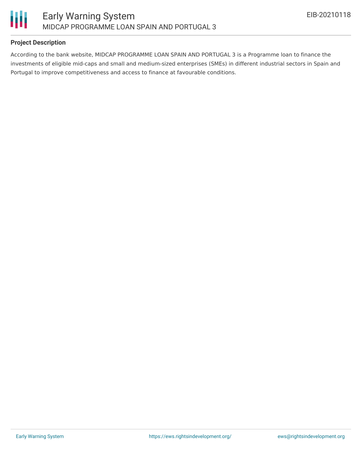

#### **Project Description**

According to the bank website, MIDCAP PROGRAMME LOAN SPAIN AND PORTUGAL 3 is a Programme loan to finance the investments of eligible mid-caps and small and medium-sized enterprises (SMEs) in different industrial sectors in Spain and Portugal to improve competitiveness and access to finance at favourable conditions.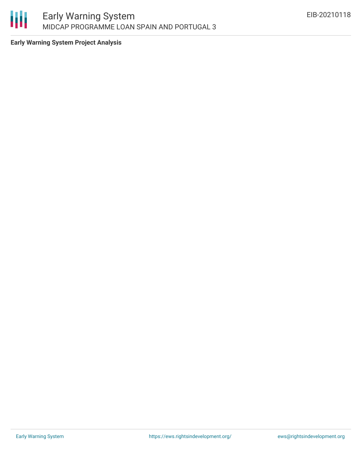

**Early Warning System Project Analysis**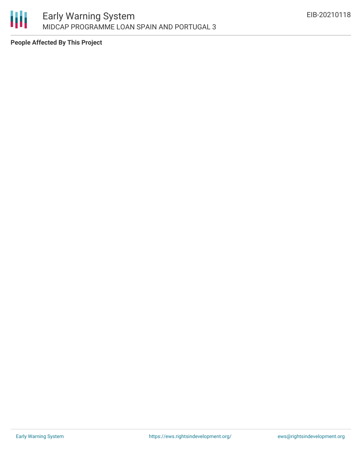

**People Affected By This Project**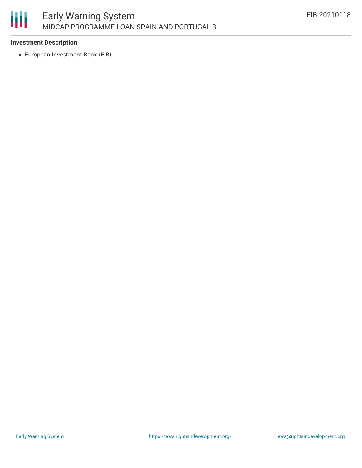

#### **Investment Description**

European Investment Bank (EIB)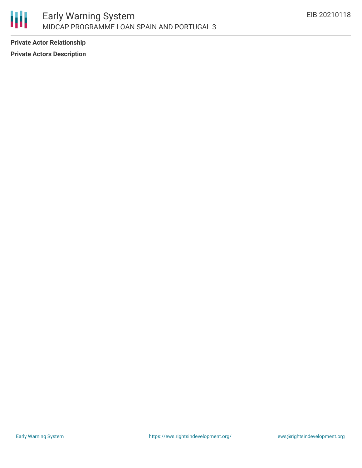

**Private Actor Relationship Private Actors Description**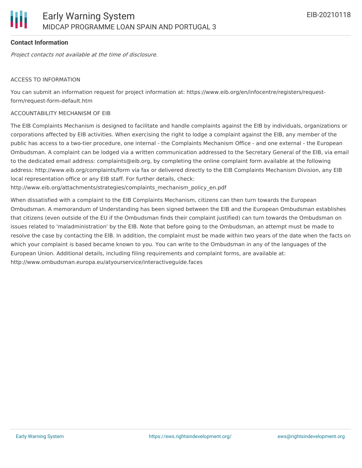#### **Contact Information**

Project contacts not available at the time of disclosure.

#### ACCESS TO INFORMATION

You can submit an information request for project information at: https://www.eib.org/en/infocentre/registers/requestform/request-form-default.htm

#### ACCOUNTABILITY MECHANISM OF EIB

The EIB Complaints Mechanism is designed to facilitate and handle complaints against the EIB by individuals, organizations or corporations affected by EIB activities. When exercising the right to lodge a complaint against the EIB, any member of the public has access to a two-tier procedure, one internal - the Complaints Mechanism Office - and one external - the European Ombudsman. A complaint can be lodged via a written communication addressed to the Secretary General of the EIB, via email to the dedicated email address: complaints@eib.org, by completing the online complaint form available at the following address: http://www.eib.org/complaints/form via fax or delivered directly to the EIB Complaints Mechanism Division, any EIB local representation office or any EIB staff. For further details, check:

http://www.eib.org/attachments/strategies/complaints\_mechanism\_policy\_en.pdf

When dissatisfied with a complaint to the EIB Complaints Mechanism, citizens can then turn towards the European Ombudsman. A memorandum of Understanding has been signed between the EIB and the European Ombudsman establishes that citizens (even outside of the EU if the Ombudsman finds their complaint justified) can turn towards the Ombudsman on issues related to 'maladministration' by the EIB. Note that before going to the Ombudsman, an attempt must be made to resolve the case by contacting the EIB. In addition, the complaint must be made within two years of the date when the facts on which your complaint is based became known to you. You can write to the Ombudsman in any of the languages of the European Union. Additional details, including filing requirements and complaint forms, are available at: http://www.ombudsman.europa.eu/atyourservice/interactiveguide.faces